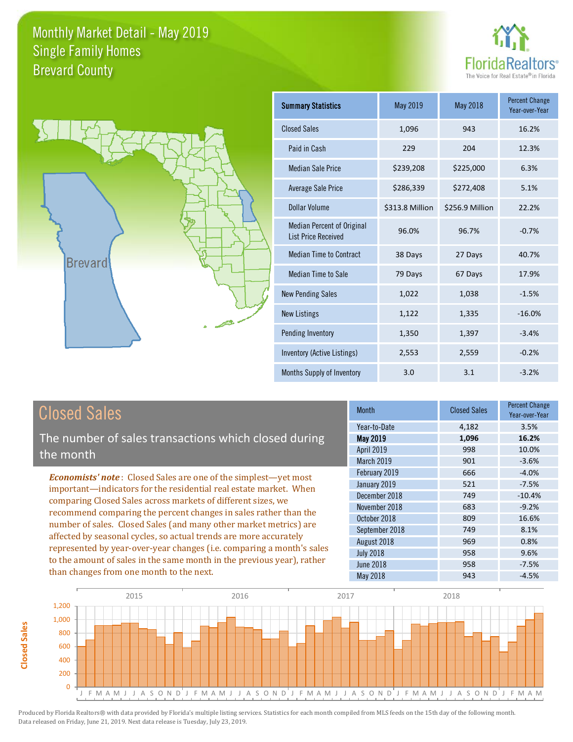



| <b>Summary Statistics</b>                                       | May 2019        | May 2018        | <b>Percent Change</b><br>Year-over-Year |
|-----------------------------------------------------------------|-----------------|-----------------|-----------------------------------------|
| <b>Closed Sales</b>                                             | 1,096           | 943             | 16.2%                                   |
| Paid in Cash                                                    | 229             | 204             | 12.3%                                   |
| <b>Median Sale Price</b>                                        | \$239,208       | \$225,000       | 6.3%                                    |
| <b>Average Sale Price</b>                                       | \$286,339       | \$272,408       | 5.1%                                    |
| Dollar Volume                                                   | \$313.8 Million | \$256.9 Million | 22.2%                                   |
| <b>Median Percent of Original</b><br><b>List Price Received</b> | 96.0%           | 96.7%           | $-0.7%$                                 |
| <b>Median Time to Contract</b>                                  | 38 Days         | 27 Days         | 40.7%                                   |
| Median Time to Sale                                             | 79 Days         | 67 Days         | 17.9%                                   |
| <b>New Pending Sales</b>                                        | 1,022           | 1,038           | $-1.5%$                                 |
| <b>New Listings</b>                                             | 1,122           | 1,335           | $-16.0%$                                |
| Pending Inventory                                               | 1,350           | 1,397           | $-3.4%$                                 |
| Inventory (Active Listings)                                     | 2,553           | 2,559           | $-0.2%$                                 |
| Months Supply of Inventory                                      | 3.0             | 3.1             | $-3.2%$                                 |

#### Closed Sales

**Closed Sales**

**Closed Sales** 

The number of sales transactions which closed during the month

*Economists' note* : Closed Sales are one of the simplest—yet most important—indicators for the residential real estate market. When comparing Closed Sales across markets of different sizes, we recommend comparing the percent changes in sales rather than the number of sales. Closed Sales (and many other market metrics) are affected by seasonal cycles, so actual trends are more accurately represented by year-over-year changes (i.e. comparing a month's sales to the amount of sales in the same month in the previous year), rather than changes from one month to the next.

| Month             | <b>Closed Sales</b> | <b>Percent Change</b><br>Year-over-Year |
|-------------------|---------------------|-----------------------------------------|
| Year-to-Date      | 4,182               | 3.5%                                    |
| <b>May 2019</b>   | 1,096               | 16.2%                                   |
| <b>April 2019</b> | 998                 | 10.0%                                   |
| March 2019        | 901                 | $-3.6%$                                 |
| February 2019     | 666                 | $-4.0%$                                 |
| January 2019      | 521                 | $-7.5%$                                 |
| December 2018     | 749                 | $-10.4%$                                |
| November 2018     | 683                 | $-9.2%$                                 |
| October 2018      | 809                 | 16.6%                                   |
| September 2018    | 749                 | 8.1%                                    |
| August 2018       | 969                 | 0.8%                                    |
| <b>July 2018</b>  | 958                 | 9.6%                                    |
| <b>June 2018</b>  | 958                 | $-7.5%$                                 |
| <b>May 2018</b>   | 943                 | $-4.5%$                                 |

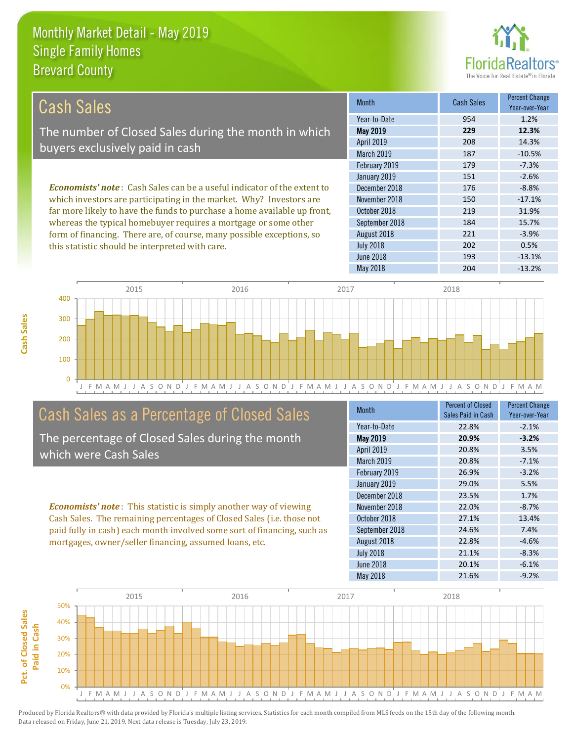this statistic should be interpreted with care.



202 0.5%

| Cash Sales                                                                      | <b>Month</b>      | Cash Sales | <b>Percent Change</b><br>Year-over-Year |
|---------------------------------------------------------------------------------|-------------------|------------|-----------------------------------------|
|                                                                                 | Year-to-Date      | 954        | 1.2%                                    |
| The number of Closed Sales during the month in which                            | May 2019          | 229        | 12.3%                                   |
| buyers exclusively paid in cash                                                 | <b>April 2019</b> | 208        | 14.3%                                   |
|                                                                                 | <b>March 2019</b> | 187        | $-10.5%$                                |
|                                                                                 | February 2019     | 179        | $-7.3%$                                 |
|                                                                                 | January 2019      | 151        | $-2.6%$                                 |
| <b>Economists' note</b> : Cash Sales can be a useful indicator of the extent to | December 2018     | 176        | $-8.8%$                                 |
| which investors are participating in the market. Why? Investors are             | November 2018     | 150        | $-17.1%$                                |
| far more likely to have the funds to purchase a home available up front,        | October 2018      | 219        | 31.9%                                   |
| whereas the typical homebuyer requires a mortgage or some other                 | September 2018    | 184        | 15.7%                                   |
| form of financing. There are, of course, many possible exceptions, so           | August 2018       | 221        | $-3.9%$                                 |



#### Cash Sales as a Percentage of Closed Sales

The percentage of Closed Sales during the month which were Cash Sales

*Economists' note* : This statistic is simply another way of viewing Cash Sales. The remaining percentages of Closed Sales (i.e. those not paid fully in cash) each month involved some sort of financing, such as mortgages, owner/seller financing, assumed loans, etc.

| <b>Month</b>     | <b>Percent of Closed</b><br>Sales Paid in Cash | <b>Percent Change</b><br>Year-over-Year |
|------------------|------------------------------------------------|-----------------------------------------|
| Year-to-Date     | 22.8%                                          | $-2.1%$                                 |
| <b>May 2019</b>  | 20.9%                                          | $-3.2%$                                 |
| April 2019       | 20.8%                                          | 3.5%                                    |
| March 2019       | 20.8%                                          | $-7.1%$                                 |
| February 2019    | 26.9%                                          | $-3.2%$                                 |
| January 2019     | 29.0%                                          | 5.5%                                    |
| December 2018    | 23.5%                                          | 1.7%                                    |
| November 2018    | 22.0%                                          | $-8.7%$                                 |
| October 2018     | 27.1%                                          | 13.4%                                   |
| September 2018   | 24.6%                                          | 7.4%                                    |
| August 2018      | 22.8%                                          | $-4.6%$                                 |
| <b>July 2018</b> | 21.1%                                          | $-8.3%$                                 |
| June 2018        | 20.1%                                          | $-6.1%$                                 |
| <b>May 2018</b>  | 21.6%                                          | $-9.2%$                                 |

June 2018 **193** -13.1%

July 2018

May 2018 204 -13.2%

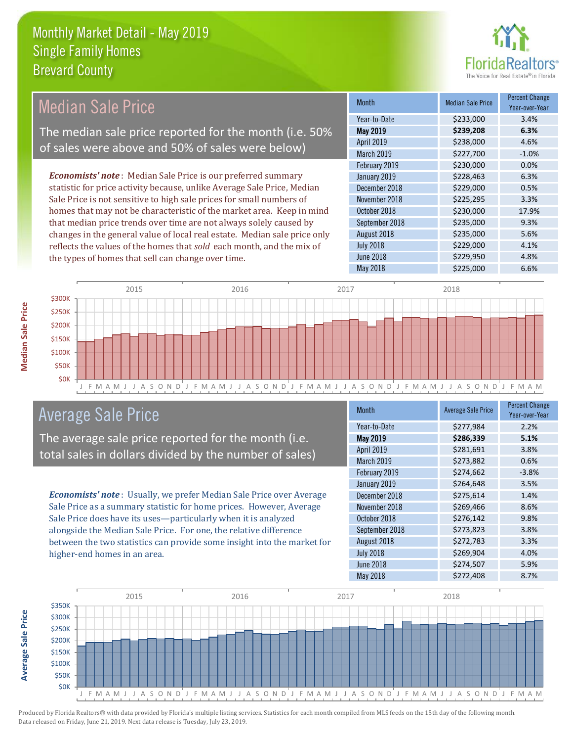

| <b>Median Sale Price</b>                                                  | <b>Month</b>      | <b>Median Sale Price</b> | <b>Percent Change</b><br>Year-over-Year |
|---------------------------------------------------------------------------|-------------------|--------------------------|-----------------------------------------|
|                                                                           | Year-to-Date      | \$233,000                | 3.4%                                    |
| The median sale price reported for the month (i.e. 50%                    | <b>May 2019</b>   | \$239,208                | 6.3%                                    |
| of sales were above and 50% of sales were below)                          | <b>April 2019</b> | \$238,000                | 4.6%                                    |
|                                                                           | March 2019        | \$227,700                | $-1.0%$                                 |
|                                                                           | February 2019     | \$230,000                | 0.0%                                    |
| <b>Economists' note:</b> Median Sale Price is our preferred summary       | January 2019      | \$228,463                | 6.3%                                    |
| statistic for price activity because, unlike Average Sale Price, Median   | December 2018     | \$229,000                | 0.5%                                    |
| Sale Price is not sensitive to high sale prices for small numbers of      | November 2018     | \$225,295                | 3.3%                                    |
| homes that may not be characteristic of the market area. Keep in mind     | October 2018      | \$230,000                | 17.9%                                   |
| that median price trends over time are not always solely caused by        | September 2018    | \$235,000                | 9.3%                                    |
| changes in the general value of local real estate. Median sale price only | August 2018       | \$235,000                | 5.6%                                    |
| reflects the values of the homes that sold each month, and the mix of     | <b>July 2018</b>  | \$229,000                | 4.1%                                    |
| the types of homes that sell can change over time.                        | <b>June 2018</b>  | \$229,950                | 4.8%                                    |
|                                                                           | May 2018          | \$225,000                | 6.6%                                    |
|                                                                           |                   |                          |                                         |



#### Average Sale Price

The average sale price reported for the month (i.e. total sales in dollars divided by the number of sales)

*Economists' note* : Usually, we prefer Median Sale Price over Average Sale Price as a summary statistic for home prices. However, Average Sale Price does have its uses—particularly when it is analyzed alongside the Median Sale Price. For one, the relative difference between the two statistics can provide some insight into the market for higher-end homes in an area.

| <b>Month</b>     | <b>Average Sale Price</b> | <b>Percent Change</b><br>Year-over-Year |
|------------------|---------------------------|-----------------------------------------|
| Year-to-Date     | \$277,984                 | 2.2%                                    |
| <b>May 2019</b>  | \$286,339                 | 5.1%                                    |
| April 2019       | \$281,691                 | 3.8%                                    |
| March 2019       | \$273,882                 | 0.6%                                    |
| February 2019    | \$274,662                 | $-3.8%$                                 |
| January 2019     | \$264,648                 | 3.5%                                    |
| December 2018    | \$275,614                 | 1.4%                                    |
| November 2018    | \$269,466                 | 8.6%                                    |
| October 2018     | \$276,142                 | 9.8%                                    |
| September 2018   | \$273,823                 | 3.8%                                    |
| August 2018      | \$272,783                 | 3.3%                                    |
| <b>July 2018</b> | \$269,904                 | 4.0%                                    |
| <b>June 2018</b> | \$274,507                 | 5.9%                                    |
| May 2018         | \$272,408                 | 8.7%                                    |



**Median Sale Price** 

**Average Sale Price**

**Average Sale Price**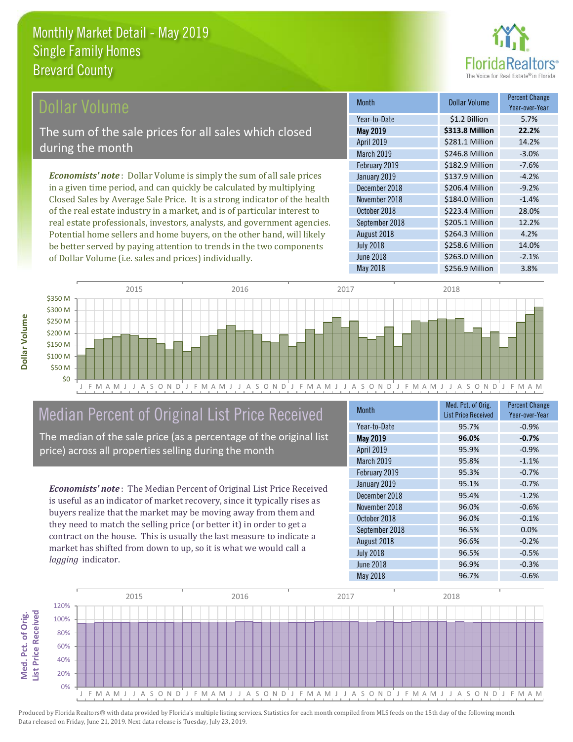

#### **Ollar Volume**

The sum of the sale prices for all sales which closed during the month

*Economists' note* : Dollar Volume is simply the sum of all sale prices in a given time period, and can quickly be calculated by multiplying Closed Sales by Average Sale Price. It is a strong indicator of the health of the real estate industry in a market, and is of particular interest to real estate professionals, investors, analysts, and government agencies. Potential home sellers and home buyers, on the other hand, will likely be better served by paying attention to trends in the two components of Dollar Volume (i.e. sales and prices) individually.

| <b>Month</b>     | Dollar Volume   | <b>Percent Change</b><br>Year-over-Year |
|------------------|-----------------|-----------------------------------------|
| Year-to-Date     | \$1.2 Billion   | 5.7%                                    |
| <b>May 2019</b>  | \$313.8 Million | 22.2%                                   |
| April 2019       | \$281.1 Million | 14.2%                                   |
| March 2019       | \$246.8 Million | $-3.0%$                                 |
| February 2019    | \$182.9 Million | $-7.6%$                                 |
| January 2019     | \$137.9 Million | $-4.2%$                                 |
| December 2018    | \$206.4 Million | $-9.2%$                                 |
| November 2018    | \$184.0 Million | $-1.4%$                                 |
| October 2018     | \$223.4 Million | 28.0%                                   |
| September 2018   | \$205.1 Million | 12.2%                                   |
| August 2018      | \$264.3 Million | 4.2%                                    |
| <b>July 2018</b> | \$258.6 Million | 14.0%                                   |
| June 2018        | \$263.0 Million | $-2.1%$                                 |
| <b>May 2018</b>  | \$256.9 Million | 3.8%                                    |



#### Median Percent of Original List Price Received

The median of the sale price (as a percentage of the original list price) across all properties selling during the month

*Economists' note* : The Median Percent of Original List Price Received is useful as an indicator of market recovery, since it typically rises as buyers realize that the market may be moving away from them and they need to match the selling price (or better it) in order to get a contract on the house. This is usually the last measure to indicate a market has shifted from down to up, so it is what we would call a *lagging* indicator.

| <b>Month</b>     | Med. Pct. of Orig.<br><b>List Price Received</b> | <b>Percent Change</b><br>Year-over-Year |
|------------------|--------------------------------------------------|-----------------------------------------|
| Year-to-Date     | 95.7%                                            | $-0.9%$                                 |
| <b>May 2019</b>  | 96.0%                                            | $-0.7%$                                 |
| April 2019       | 95.9%                                            | $-0.9%$                                 |
| March 2019       | 95.8%                                            | $-1.1%$                                 |
| February 2019    | 95.3%                                            | $-0.7%$                                 |
| January 2019     | 95.1%                                            | $-0.7%$                                 |
| December 2018    | 95.4%                                            | $-1.2%$                                 |
| November 2018    | 96.0%                                            | $-0.6%$                                 |
| October 2018     | 96.0%                                            | $-0.1%$                                 |
| September 2018   | 96.5%                                            | 0.0%                                    |
| August 2018      | 96.6%                                            | $-0.2%$                                 |
| <b>July 2018</b> | 96.5%                                            | $-0.5%$                                 |
| June 2018        | 96.9%                                            | $-0.3%$                                 |
| <b>May 2018</b>  | 96.7%                                            | $-0.6%$                                 |

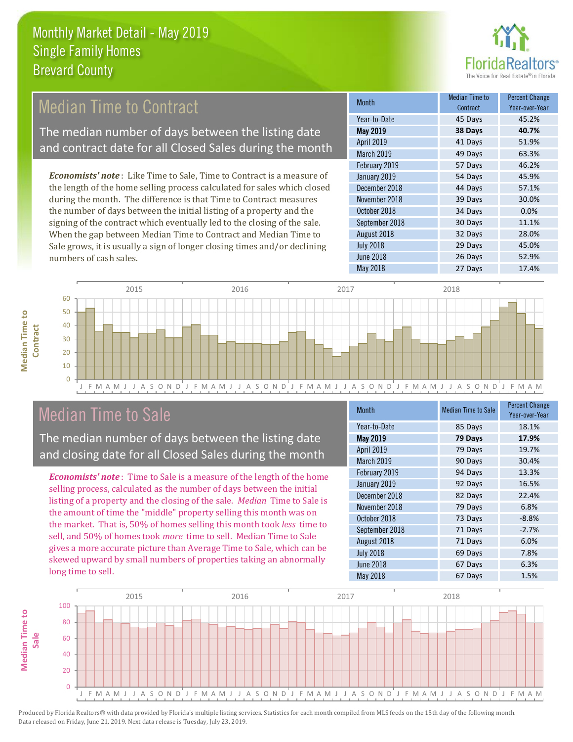

#### Median Time to Contract

The median number of days between the listing date and contract date for all Closed Sales during the month

*Economists' note* : Like Time to Sale, Time to Contract is a measure of the length of the home selling process calculated for sales which closed during the month. The difference is that Time to Contract measures the number of days between the initial listing of a property and the signing of the contract which eventually led to the closing of the sale. When the gap between Median Time to Contract and Median Time to Sale grows, it is usually a sign of longer closing times and/or declining numbers of cash sales.

| <b>Month</b>     | <b>Median Time to</b><br>Contract | <b>Percent Change</b><br>Year-over-Year |
|------------------|-----------------------------------|-----------------------------------------|
| Year-to-Date     | 45 Days                           | 45.2%                                   |
| <b>May 2019</b>  | 38 Days                           | 40.7%                                   |
| April 2019       | 41 Days                           | 51.9%                                   |
| March 2019       | 49 Days                           | 63.3%                                   |
| February 2019    | 57 Days                           | 46.2%                                   |
| January 2019     | 54 Days                           | 45.9%                                   |
| December 2018    | 44 Days                           | 57.1%                                   |
| November 2018    | 39 Days                           | 30.0%                                   |
| October 2018     | 34 Days                           | 0.0%                                    |
| September 2018   | 30 Days                           | 11.1%                                   |
| August 2018      | 32 Days                           | 28.0%                                   |
| <b>July 2018</b> | 29 Days                           | 45.0%                                   |
| June 2018        | 26 Days                           | 52.9%                                   |
| <b>May 2018</b>  | 27 Days                           | 17.4%                                   |



#### Median Time to Sale

**Median Time to** 

**Median Time to** 

The median number of days between the listing date and closing date for all Closed Sales during the month

*Economists' note* : Time to Sale is a measure of the length of the home selling process, calculated as the number of days between the initial listing of a property and the closing of the sale. *Median* Time to Sale is the amount of time the "middle" property selling this month was on the market. That is, 50% of homes selling this month took *less* time to sell, and 50% of homes took *more* time to sell. Median Time to Sale gives a more accurate picture than Average Time to Sale, which can be skewed upward by small numbers of properties taking an abnormally long time to sell.

| <b>Month</b>     | <b>Median Time to Sale</b> | <b>Percent Change</b><br>Year-over-Year |
|------------------|----------------------------|-----------------------------------------|
| Year-to-Date     | 85 Days                    | 18.1%                                   |
| <b>May 2019</b>  | 79 Days                    | 17.9%                                   |
| April 2019       | 79 Days                    | 19.7%                                   |
| March 2019       | 90 Days                    | 30.4%                                   |
| February 2019    | 94 Days                    | 13.3%                                   |
| January 2019     | 92 Days                    | 16.5%                                   |
| December 2018    | 82 Days                    | 22.4%                                   |
| November 2018    | 79 Days                    | 6.8%                                    |
| October 2018     | 73 Days                    | $-8.8%$                                 |
| September 2018   | 71 Days                    | $-2.7%$                                 |
| August 2018      | 71 Days                    | 6.0%                                    |
| <b>July 2018</b> | 69 Days                    | 7.8%                                    |
| <b>June 2018</b> | 67 Days                    | 6.3%                                    |
| May 2018         | 67 Days                    | 1.5%                                    |

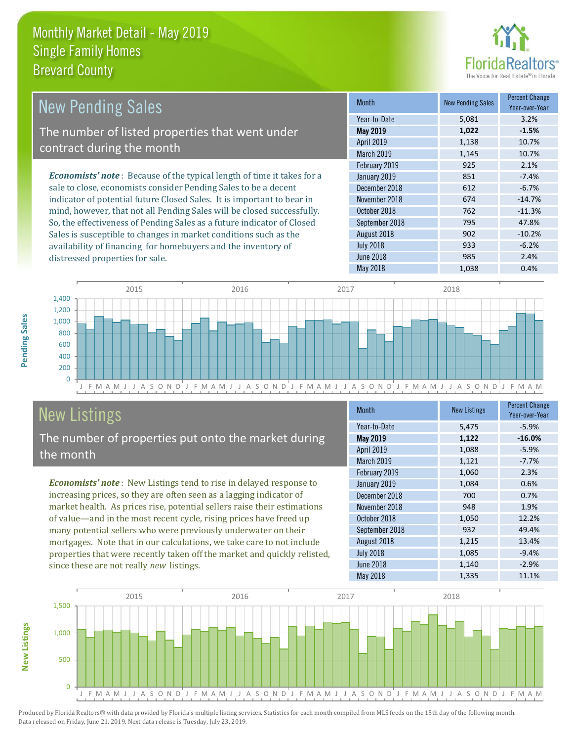distressed properties for sale.



| <b>New Pending Sales</b>                                                       | <b>Month</b>      | <b>New Pending Sales</b> | <b>Percent Change</b><br>Year-over-Year |
|--------------------------------------------------------------------------------|-------------------|--------------------------|-----------------------------------------|
|                                                                                | Year-to-Date      | 5,081                    | 3.2%                                    |
| The number of listed properties that went under                                | <b>May 2019</b>   | 1,022                    | $-1.5%$                                 |
| contract during the month                                                      | April 2019        | 1,138                    | 10.7%                                   |
|                                                                                | <b>March 2019</b> | 1,145                    | 10.7%                                   |
|                                                                                | February 2019     | 925                      | 2.1%                                    |
| <b>Economists' note</b> : Because of the typical length of time it takes for a | January 2019      | 851                      | $-7.4%$                                 |
| sale to close, economists consider Pending Sales to be a decent                | December 2018     | 612                      | $-6.7%$                                 |
| indicator of potential future Closed Sales. It is important to bear in         | November 2018     | 674                      | $-14.7%$                                |
| mind, however, that not all Pending Sales will be closed successfully.         | October 2018      | 762                      | $-11.3%$                                |
| So, the effectiveness of Pending Sales as a future indicator of Closed         | September 2018    | 795                      | 47.8%                                   |
| Sales is susceptible to changes in market conditions such as the               | August 2018       | 902                      | $-10.2%$                                |



## New Listings

The number of properties put onto the market during the month

availability of financing for homebuyers and the inventory of

*Economists' note* : New Listings tend to rise in delayed response to increasing prices, so they are often seen as a lagging indicator of market health. As prices rise, potential sellers raise their estimations of value—and in the most recent cycle, rising prices have freed up many potential sellers who were previously underwater on their mortgages. Note that in our calculations, we take care to not include properties that were recently taken off the market and quickly relisted, since these are not really *new* listings.

| <b>Month</b>     | <b>New Listings</b> | <b>Percent Change</b><br>Year-over-Year |
|------------------|---------------------|-----------------------------------------|
| Year-to-Date     | 5,475               | $-5.9%$                                 |
| May 2019         | 1,122               | $-16.0%$                                |
| April 2019       | 1,088               | $-5.9%$                                 |
| March 2019       | 1,121               | $-7.7%$                                 |
| February 2019    | 1,060               | 2.3%                                    |
| January 2019     | 1,084               | 0.6%                                    |
| December 2018    | 700                 | 0.7%                                    |
| November 2018    | 948                 | 1.9%                                    |
| October 2018     | 1,050               | 12.2%                                   |
| September 2018   | 932                 | 49.4%                                   |
| August 2018      | 1,215               | 13.4%                                   |
| <b>July 2018</b> | 1,085               | $-9.4%$                                 |
| <b>June 2018</b> | 1,140               | $-2.9%$                                 |
| May 2018         | 1,335               | 11.1%                                   |

May 2018 1,038 0.4%

July 2018 **933** -6.2% June 2018 **985** 2.4%



Produced by Florida Realtors® with data provided by Florida's multiple listing services. Statistics for each month compiled from MLS feeds on the 15th day of the following month. Data released on Friday, June 21, 2019. Next data release is Tuesday, July 23, 2019.

**New Listings**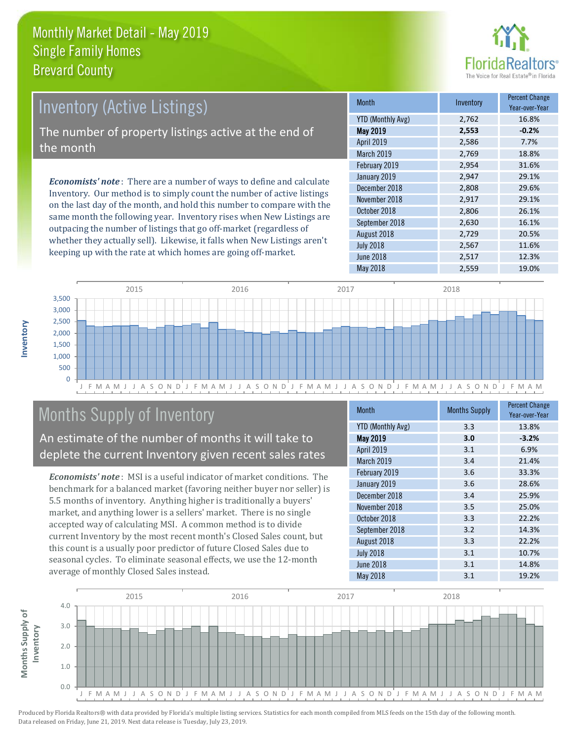

## Inventory (Active Listings) The number of property listings active at the end of the month

*Economists' note* : There are a number of ways to define and calculate Inventory. Our method is to simply count the number of active listings on the last day of the month, and hold this number to compare with the same month the following year. Inventory rises when New Listings are outpacing the number of listings that go off-market (regardless of whether they actually sell). Likewise, it falls when New Listings aren't keeping up with the rate at which homes are going off-market.

| <b>Month</b>             | Inventory | <b>Percent Change</b><br>Year-over-Year |
|--------------------------|-----------|-----------------------------------------|
| <b>YTD (Monthly Avg)</b> | 2,762     | 16.8%                                   |
| <b>May 2019</b>          | 2,553     | $-0.2%$                                 |
| April 2019               | 2,586     | 7.7%                                    |
| March 2019               | 2,769     | 18.8%                                   |
| February 2019            | 2,954     | 31.6%                                   |
| January 2019             | 2,947     | 29.1%                                   |
| December 2018            | 2,808     | 29.6%                                   |
| November 2018            | 2,917     | 29.1%                                   |
| October 2018             | 2,806     | 26.1%                                   |
| September 2018           | 2,630     | 16.1%                                   |
| August 2018              | 2,729     | 20.5%                                   |
| <b>July 2018</b>         | 2,567     | 11.6%                                   |
| <b>June 2018</b>         | 2,517     | 12.3%                                   |
| May 2018                 | 2,559     | 19.0%                                   |



### Months Supply of Inventory

An estimate of the number of months it will take to deplete the current Inventory given recent sales rates

*Economists' note* : MSI is a useful indicator of market conditions. The benchmark for a balanced market (favoring neither buyer nor seller) is 5.5 months of inventory. Anything higher is traditionally a buyers' market, and anything lower is a sellers' market. There is no single accepted way of calculating MSI. A common method is to divide current Inventory by the most recent month's Closed Sales count, but this count is a usually poor predictor of future Closed Sales due to seasonal cycles. To eliminate seasonal effects, we use the 12-month average of monthly Closed Sales instead.

| <b>Month</b>             | <b>Months Supply</b> | <b>Percent Change</b><br>Year-over-Year |
|--------------------------|----------------------|-----------------------------------------|
| <b>YTD (Monthly Avg)</b> | 3.3                  | 13.8%                                   |
| <b>May 2019</b>          | 3.0                  | $-3.2%$                                 |
| April 2019               | 3.1                  | 6.9%                                    |
| March 2019               | 3.4                  | 21.4%                                   |
| February 2019            | 3.6                  | 33.3%                                   |
| January 2019             | 3.6                  | 28.6%                                   |
| December 2018            | 3.4                  | 25.9%                                   |
| November 2018            | 3.5                  | 25.0%                                   |
| October 2018             | 3.3                  | 22.2%                                   |
| September 2018           | 3.2                  | 14.3%                                   |
| August 2018              | 3.3                  | 22.2%                                   |
| <b>July 2018</b>         | 3.1                  | 10.7%                                   |
| <b>June 2018</b>         | 3.1                  | 14.8%                                   |
| <b>May 2018</b>          | 3.1                  | 19.2%                                   |

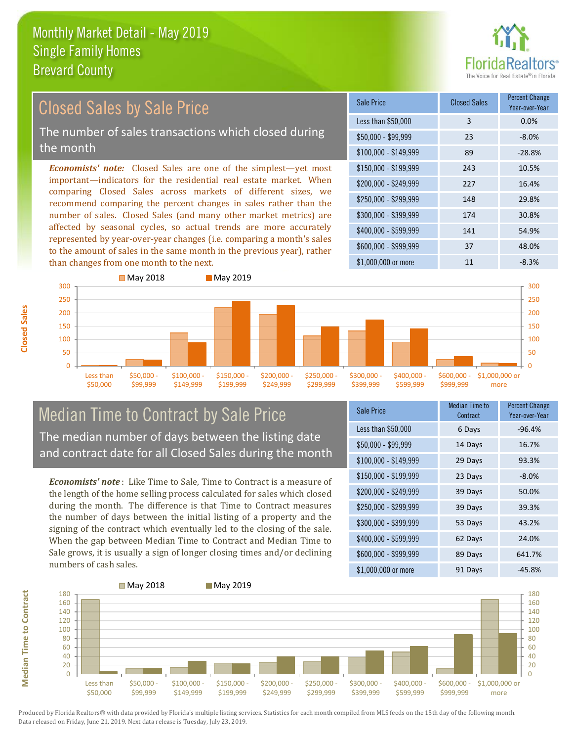

#### \$100,000 - \$149,999 89 -28.8% Sale Price Closed Sales Percent Change Year-over-Year Less than \$50,000 3 0.0%  $$50.000 - $99.999$  23 -8.0% \$150,000 - \$199,999 243 10.5% \$200,000 - \$249,999 227 16.4% \$400,000 - \$599,999 141 54.9% \$600,000 - \$999,999 37 48.0% *Economists' note:* Closed Sales are one of the simplest—yet most important—indicators for the residential real estate market. When comparing Closed Sales across markets of different sizes, we recommend comparing the percent changes in sales rather than the number of sales. Closed Sales (and many other market metrics) are affected by seasonal cycles, so actual trends are more accurately represented by year-over-year changes (i.e. comparing a month's sales to the amount of sales in the same month in the previous year), rather than changes from one month to the next. \$1,000,000 or more 11  $-8.3\%$ \$250,000 - \$299,999 148 29.8% \$300,000 - \$399,999 174 30.8% **May 2018** May 2019 Closed Sales by Sale Price The number of sales transactions which closed during the month



#### Median Time to Contract by Sale Price The median number of days between the listing date and contract date for all Closed Sales during the month

*Economists' note* : Like Time to Sale, Time to Contract is a measure of the length of the home selling process calculated for sales which closed during the month. The difference is that Time to Contract measures the number of days between the initial listing of a property and the signing of the contract which eventually led to the closing of the sale. When the gap between Median Time to Contract and Median Time to Sale grows, it is usually a sign of longer closing times and/or declining numbers of cash sales.

| <b>Sale Price</b>     | Median Time to<br>Contract | <b>Percent Change</b><br>Year-over-Year |
|-----------------------|----------------------------|-----------------------------------------|
| Less than \$50,000    | 6 Days                     | $-96.4%$                                |
| $$50,000 - $99,999$   | 14 Days                    | 16.7%                                   |
| $$100,000 - $149,999$ | 29 Days                    | 93.3%                                   |
| $$150,000 - $199,999$ | 23 Days                    | $-8.0%$                                 |
| \$200,000 - \$249,999 | 39 Days                    | 50.0%                                   |
| \$250,000 - \$299,999 | 39 Days                    | 39.3%                                   |
| \$300,000 - \$399,999 | 53 Days                    | 43.2%                                   |
| \$400,000 - \$599,999 | 62 Days                    | 24.0%                                   |
| \$600,000 - \$999,999 | 89 Days                    | 641.7%                                  |
| \$1,000,000 or more   | 91 Days                    | $-45.8%$                                |



Produced by Florida Realtors® with data provided by Florida's multiple listing services. Statistics for each month compiled from MLS feeds on the 15th day of the following month. Data released on Friday, June 21, 2019. Next data release is Tuesday, July 23, 2019.

**Median Time to Contract**

**Median Time to Contract**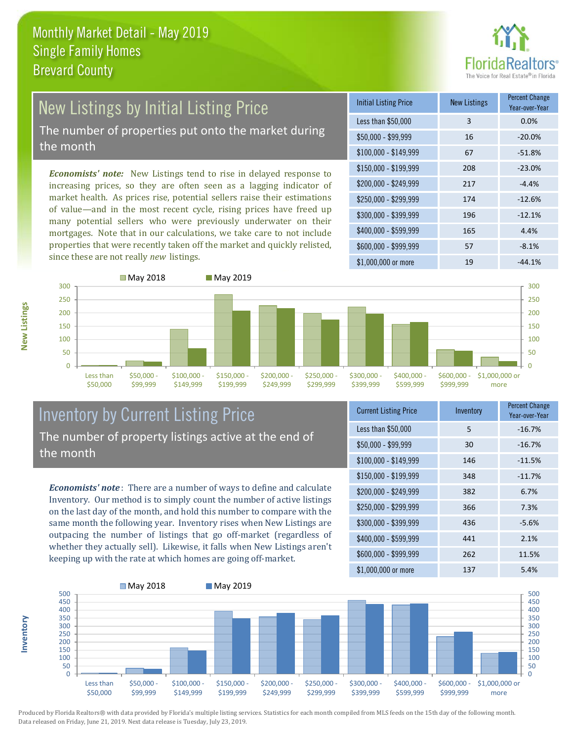

# New Listings by Initial Listing Price

The number of properties put onto the market during the month

*Economists' note:* New Listings tend to rise in delayed response to increasing prices, so they are often seen as a lagging indicator of market health. As prices rise, potential sellers raise their estimations of value—and in the most recent cycle, rising prices have freed up many potential sellers who were previously underwater on their mortgages. Note that in our calculations, we take care to not include properties that were recently taken off the market and quickly relisted, since these are not really *new* listings.

| <b>Initial Listing Price</b> | <b>New Listings</b> | <b>Percent Change</b><br>Year-over-Year |
|------------------------------|---------------------|-----------------------------------------|
| Less than \$50,000           | 3                   | 0.0%                                    |
| $$50,000 - $99,999$          | 16                  | $-20.0%$                                |
| $$100,000 - $149,999$        | 67                  | $-51.8%$                                |
| $$150,000 - $199,999$        | 208                 | $-23.0%$                                |
| \$200,000 - \$249,999        | 217                 | $-4.4%$                                 |
| \$250,000 - \$299,999        | 174                 | $-12.6%$                                |
| \$300,000 - \$399,999        | 196                 | $-12.1%$                                |
| \$400,000 - \$599,999        | 165                 | 4.4%                                    |
| \$600,000 - \$999,999        | 57                  | $-8.1%$                                 |
| \$1,000,000 or more          | 19                  | $-44.1%$                                |



#### Inventory by Current Listing Price The number of property listings active at the end of the month

*Economists' note* : There are a number of ways to define and calculate Inventory. Our method is to simply count the number of active listings on the last day of the month, and hold this number to compare with the same month the following year. Inventory rises when New Listings are outpacing the number of listings that go off-market (regardless of whether they actually sell). Likewise, it falls when New Listings aren't keeping up with the rate at which homes are going off-market.

| <b>Current Listing Price</b> | Inventory | <b>Percent Change</b><br>Year-over-Year |
|------------------------------|-----------|-----------------------------------------|
| Less than \$50,000           | 5         | $-16.7%$                                |
| $$50,000 - $99,999$          | 30        | $-16.7%$                                |
| $$100,000 - $149,999$        | 146       | $-11.5%$                                |
| $$150,000 - $199,999$        | 348       | $-11.7%$                                |
| \$200,000 - \$249,999        | 382       | 6.7%                                    |
| \$250,000 - \$299,999        | 366       | 7.3%                                    |
| \$300,000 - \$399,999        | 436       | $-5.6%$                                 |
| \$400,000 - \$599,999        | 441       | 2.1%                                    |
| \$600,000 - \$999,999        | 262       | 11.5%                                   |
| \$1,000,000 or more          | 137       | 5.4%                                    |



Produced by Florida Realtors® with data provided by Florida's multiple listing services. Statistics for each month compiled from MLS feeds on the 15th day of the following month. Data released on Friday, June 21, 2019. Next data release is Tuesday, July 23, 2019.

**Inventory**